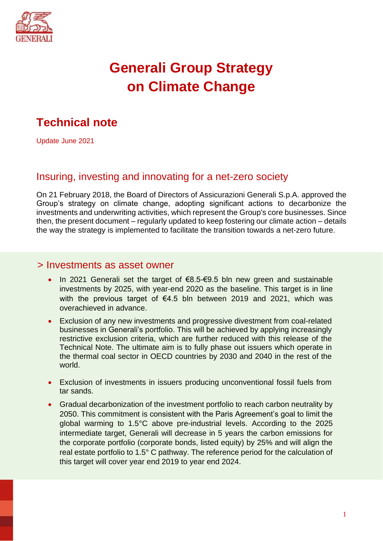

# **Generali Group Strategy on Climate Change**

# **Technical note**

Update June 2021

# Insuring, investing and innovating for a net-zero society

On 21 February 2018, the Board of Directors of Assicurazioni Generali S.p.A. approved the Group's strategy on climate change, adopting significant actions to decarbonize the investments and underwriting activities, which represent the Group's core businesses. Since then, the present document – regularly updated to keep fostering our climate action – details the way the strategy is implemented to facilitate the transition towards a net-zero future.

#### > Investments as asset owner

- In 2021 Generali set the target of €8.5-€9.5 bln new green and sustainable investments by 2025, with year-end 2020 as the baseline. This target is in line with the previous target of €4.5 bln between 2019 and 2021, which was overachieved in advance.
- Exclusion of any new investments and progressive divestment from coal-related businesses in Generali's portfolio. This will be achieved by applying increasingly restrictive exclusion criteria, which are further reduced with this release of the Technical Note. The ultimate aim is to fully phase out issuers which operate in the thermal coal sector in OECD countries by 2030 and 2040 in the rest of the world.
- Exclusion of investments in issuers producing unconventional fossil fuels from tar sands.
- Gradual decarbonization of the investment portfolio to reach carbon neutrality by 2050. This commitment is consistent with the Paris Agreement's goal to limit the global warming to 1.5°C above pre-industrial levels. According to the 2025 intermediate target, Generali will decrease in 5 years the carbon emissions for the corporate portfolio (corporate bonds, listed equity) by 25% and will align the real estate portfolio to 1.5° C pathway. The reference period for the calculation of this target will cover year end 2019 to year end 2024.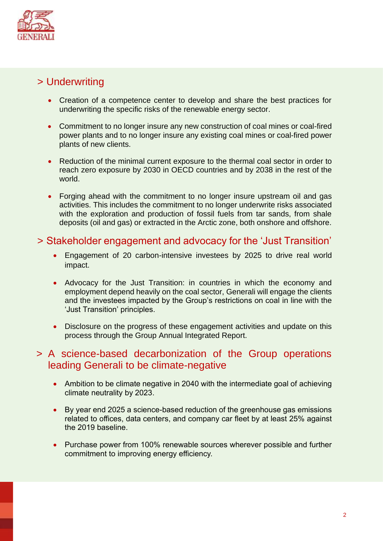

# > Underwriting

- Creation of a competence center to develop and share the best practices for underwriting the specific risks of the renewable energy sector.
- Commitment to no longer insure any new construction of coal mines or coal-fired power plants and to no longer insure any existing coal mines or coal-fired power plants of new clients.
- Reduction of the minimal current exposure to the thermal coal sector in order to reach zero exposure by 2030 in OECD countries and by 2038 in the rest of the world.
- Forging ahead with the commitment to no longer insure upstream oil and gas activities. This includes the commitment to no longer underwrite risks associated with the exploration and production of fossil fuels from tar sands, from shale deposits (oil and gas) or extracted in the Arctic zone, both onshore and offshore.

# > Stakeholder engagement and advocacy for the 'Just Transition'

- Engagement of 20 carbon-intensive investees by 2025 to drive real world impact.
- Advocacy for the Just Transition: in countries in which the economy and employment depend heavily on the coal sector, Generali will engage the clients and the investees impacted by the Group's restrictions on coal in line with the 'Just Transition' principles.
- Disclosure on the progress of these engagement activities and update on this process through the Group Annual Integrated Report.

# > A science-based decarbonization of the Group operations leading Generali to be climate-negative

- Ambition to be climate negative in 2040 with the intermediate goal of achieving climate neutrality by 2023.
- By year end 2025 a science-based reduction of the greenhouse gas emissions related to offices, data centers, and company car fleet by at least 25% against the 2019 baseline.
- Purchase power from 100% renewable sources wherever possible and further commitment to improving energy efficiency.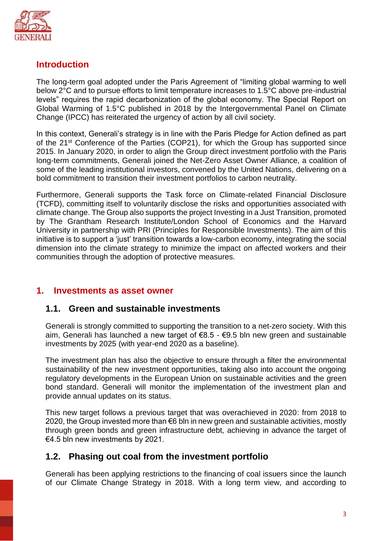

# **Introduction**

The long-term goal adopted under the Paris Agreement of "limiting global warming to well below 2°C and to pursue efforts to limit temperature increases to 1.5°C above pre-industrial levels" requires the rapid decarbonization of the global economy. The Special Report on Global Warming of 1.5°C published in 2018 by the Intergovernmental Panel on Climate Change (IPCC) has reiterated the urgency of action by all civil society.

In this context, Generali's strategy is in line with the Paris Pledge for Action defined as part of the 21<sup>st</sup> Conference of the Parties (COP21), for which the Group has supported since 2015. In January 2020, in order to align the Group direct investment portfolio with the Paris long-term commitments, Generali joined the Net-Zero Asset Owner Alliance, a coalition of some of the leading institutional investors, convened by the United Nations, delivering on a bold commitment to transition their investment portfolios to carbon neutrality.

Furthermore, Generali supports the Task force on Climate-related Financial Disclosure (TCFD), committing itself to voluntarily disclose the risks and opportunities associated with climate change. The Group also supports the project Investing in a Just Transition, promoted by The Grantham Research Institute/London School of Economics and the Harvard University in partnership with PRI (Principles for Responsible Investments). The aim of this initiative is to support a 'just' transition towards a low-carbon economy, integrating the social dimension into the climate strategy to minimize the impact on affected workers and their communities through the adoption of protective measures.

#### **1. Investments as asset owner**

#### **1.1. Green and sustainable investments**

Generali is strongly committed to supporting the transition to a net-zero society. With this aim, Generali has launched a new target of €8.5 - €9.5 bln new green and sustainable investments by 2025 (with year-end 2020 as a baseline).

The investment plan has also the objective to ensure through a filter the environmental sustainability of the new investment opportunities, taking also into account the ongoing regulatory developments in the European Union on sustainable activities and the green bond standard. Generali will monitor the implementation of the investment plan and provide annual updates on its status.

This new target follows a previous target that was overachieved in 2020: from 2018 to 2020, the Group invested more than €6 bln in new green and sustainable activities, mostly through green bonds and green infrastructure debt, achieving in advance the target of €4.5 bln new investments by 2021.

#### **1.2. Phasing out coal from the investment portfolio**

Generali has been applying restrictions to the financing of coal issuers since the launch of our Climate Change Strategy in 2018. With a long term view, and according to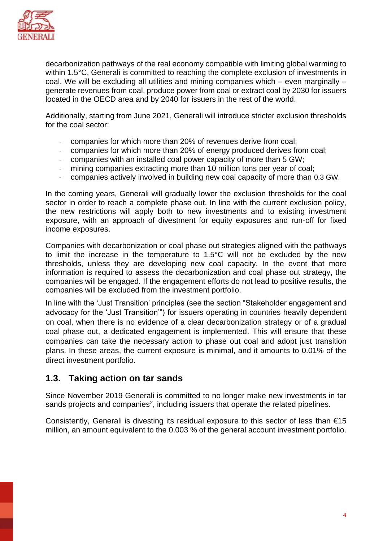

decarbonization pathways of the real economy compatible with limiting global warming to within 1.5°C, Generali is committed to reaching the complete exclusion of investments in coal. We will be excluding all utilities and mining companies which – even marginally – generate revenues from coal, produce power from coal or extract coal by 2030 for issuers located in the OECD area and by 2040 for issuers in the rest of the world.

Additionally, starting from June 2021, Generali will introduce stricter exclusion thresholds for the coal sector:

- companies for which more than 20% of revenues derive from coal;
- companies for which more than 20% of energy produced derives from coal;
- companies with an installed coal power capacity of more than 5 GW;
- mining companies extracting more than 10 million tons per year of coal;
- companies actively involved in building new coal capacity of more than 0.3 GW.

In the coming years, Generali will gradually lower the exclusion thresholds for the coal sector in order to reach a complete phase out. In line with the current exclusion policy, the new restrictions will apply both to new investments and to existing investment exposure, with an approach of divestment for equity exposures and run-off for fixed income exposures.

Companies with decarbonization or coal phase out strategies aligned with the pathways to limit the increase in the temperature to 1.5°C will not be excluded by the new thresholds, unless they are developing new coal capacity. In the event that more information is required to assess the decarbonization and coal phase out strategy, the companies will be engaged. If the engagement efforts do not lead to positive results, the companies will be excluded from the investment portfolio.

In line with the 'Just Transition' principles (see the section "Stakeholder engagement and advocacy for the 'Just Transition'") for issuers operating in countries heavily dependent on coal, when there is no evidence of a clear decarbonization strategy or of a gradual coal phase out, a dedicated engagement is implemented. This will ensure that these companies can take the necessary action to phase out coal and adopt just transition plans. In these areas, the current exposure is minimal, and it amounts to 0.01% of the direct investment portfolio.

#### **1.3. Taking action on tar sands**

Since November 2019 Generali is committed to no longer make new investments in tar sands projects and companies<sup>2</sup>, including issuers that operate the related pipelines.

Consistently, Generali is divesting its residual exposure to this sector of less than  $€15$ million, an amount equivalent to the 0.003 % of the general account investment portfolio.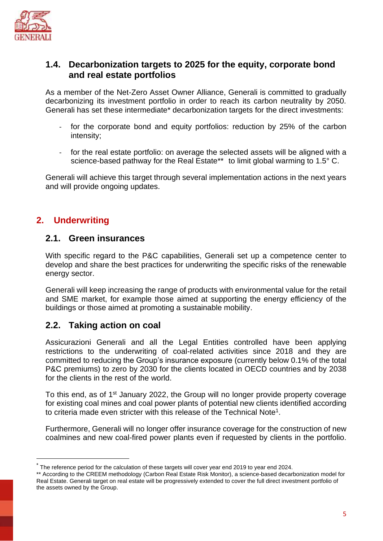

#### **1.4. Decarbonization targets to 2025 for the equity, corporate bond and real estate portfolios**

As a member of the Net-Zero Asset Owner Alliance, Generali is committed to gradually decarbonizing its investment portfolio in order to reach its carbon neutrality by 2050. Generali has set these intermediate\* decarbonization targets for the direct investments:

- for the corporate bond and equity portfolios: reduction by 25% of the carbon intensity;
- for the real estate portfolio: on average the selected assets will be aligned with a science-based pathway for the Real Estate\*\* to limit global warming to 1.5° C.

Generali will achieve this target through several implementation actions in the next years and will provide ongoing updates.

### **2. Underwriting**

#### **2.1. Green insurances**

With specific regard to the P&C capabilities, Generali set up a competence center to develop and share the best practices for underwriting the specific risks of the renewable energy sector.

Generali will keep increasing the range of products with environmental value for the retail and SME market, for example those aimed at supporting the energy efficiency of the buildings or those aimed at promoting a sustainable mobility.

#### **2.2. Taking action on coal**

Assicurazioni Generali and all the Legal Entities controlled have been applying restrictions to the underwriting of coal-related activities since 2018 and they are committed to reducing the Group's insurance exposure (currently below 0.1% of the total P&C premiums) to zero by 2030 for the clients located in OECD countries and by 2038 for the clients in the rest of the world.

To this end, as of 1<sup>st</sup> January 2022, the Group will no longer provide property coverage for existing coal mines and coal power plants of potential new clients identified according to criteria made even stricter with this release of the Technical Note<sup>1</sup>.

Furthermore, Generali will no longer offer insurance coverage for the construction of new coalmines and new coal-fired power plants even if requested by clients in the portfolio.

The reference period for the calculation of these targets will cover year end 2019 to year end 2024.

<sup>\*\*</sup> According to the CREEM methodology (Carbon Real Estate Risk Monitor), a science-based decarbonization model for Real Estate. Generali target on real estate will be progressively extended to cover the full direct investment portfolio of the assets owned by the Group.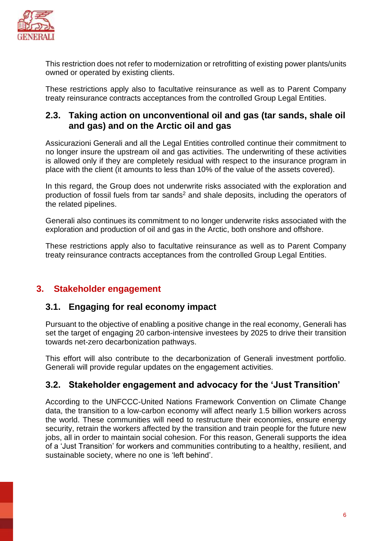

This restriction does not refer to modernization or retrofitting of existing power plants/units owned or operated by existing clients.

These restrictions apply also to facultative reinsurance as well as to Parent Company treaty reinsurance contracts acceptances from the controlled Group Legal Entities.

#### **2.3. Taking action on unconventional oil and gas (tar sands, shale oil and gas) and on the Arctic oil and gas**

Assicurazioni Generali and all the Legal Entities controlled continue their commitment to no longer insure the upstream oil and gas activities. The underwriting of these activities is allowed only if they are completely residual with respect to the insurance program in place with the client (it amounts to less than 10% of the value of the assets covered).

In this regard, the Group does not underwrite risks associated with the exploration and production of fossil fuels from tar sands<sup>2</sup> and shale deposits, including the operators of the related pipelines.

Generali also continues its commitment to no longer underwrite risks associated with the exploration and production of oil and gas in the Arctic, both onshore and offshore.

These restrictions apply also to facultative reinsurance as well as to Parent Company treaty reinsurance contracts acceptances from the controlled Group Legal Entities.

# **3. Stakeholder engagement**

#### **3.1. Engaging for real economy impact**

Pursuant to the objective of enabling a positive change in the real economy, Generali has set the target of engaging 20 carbon-intensive investees by 2025 to drive their transition towards net-zero decarbonization pathways.

This effort will also contribute to the decarbonization of Generali investment portfolio. Generali will provide regular updates on the engagement activities.

#### **3.2. Stakeholder engagement and advocacy for the 'Just Transition'**

According to the UNFCCC-United Nations Framework Convention on Climate Change data, the transition to a low-carbon economy will affect nearly 1.5 billion workers across the world. These communities will need to restructure their economies, ensure energy security, retrain the workers affected by the transition and train people for the future new jobs, all in order to maintain social cohesion. For this reason, Generali supports the idea of a 'Just Transition' for workers and communities contributing to a healthy, resilient, and sustainable society, where no one is 'left behind'.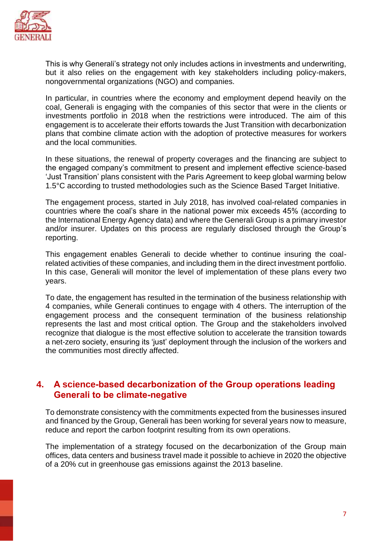

This is why Generali's strategy not only includes actions in investments and underwriting, but it also relies on the engagement with key stakeholders including policy-makers, nongovernmental organizations (NGO) and companies.

In particular, in countries where the economy and employment depend heavily on the coal, Generali is engaging with the companies of this sector that were in the clients or investments portfolio in 2018 when the restrictions were introduced. The aim of this engagement is to accelerate their efforts towards the Just Transition with decarbonization plans that combine climate action with the adoption of protective measures for workers and the local communities.

In these situations, the renewal of property coverages and the financing are subject to the engaged company's commitment to present and implement effective science-based 'Just Transition' plans consistent with the Paris Agreement to keep global warming below 1.5°C according to trusted methodologies such as the Science Based Target Initiative.

The engagement process, started in July 2018, has involved coal-related companies in countries where the coal's share in the national power mix exceeds 45% (according to the International Energy Agency data) and where the Generali Group is a primary investor and/or insurer. Updates on this process are regularly disclosed through the Group's reporting.

This engagement enables Generali to decide whether to continue insuring the coalrelated activities of these companies, and including them in the direct investment portfolio. In this case, Generali will monitor the level of implementation of these plans every two years.

To date, the engagement has resulted in the termination of the business relationship with 4 companies, while Generali continues to engage with 4 others. The interruption of the engagement process and the consequent termination of the business relationship represents the last and most critical option. The Group and the stakeholders involved recognize that dialogue is the most effective solution to accelerate the transition towards a net-zero society, ensuring its 'just' deployment through the inclusion of the workers and the communities most directly affected.

#### **4. A science-based decarbonization of the Group operations leading Generali to be climate-negative**

To demonstrate consistency with the commitments expected from the businesses insured and financed by the Group, Generali has been working for several years now to measure, reduce and report the carbon footprint resulting from its own operations.

The implementation of a strategy focused on the decarbonization of the Group main offices, data centers and business travel made it possible to achieve in 2020 the objective of a 20% cut in greenhouse gas emissions against the 2013 baseline.